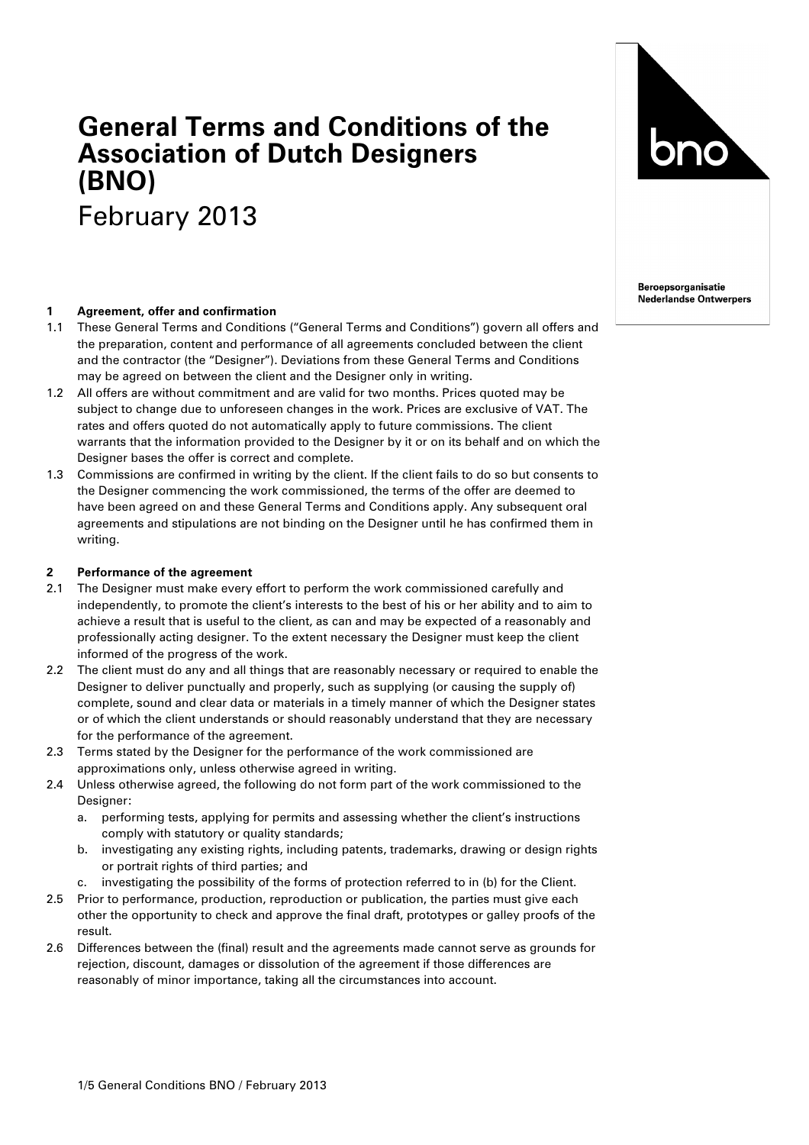# **General Terms and Conditions of the Association of Dutch Designers (BNO)** February 2013

### **1 Agreement, offer and confirmation**

- 1.1 These General Terms and Conditions ("General Terms and Conditions") govern all offers and the preparation, content and performance of all agreements concluded between the client and the contractor (the "Designer"). Deviations from these General Terms and Conditions may be agreed on between the client and the Designer only in writing.
- 1.2 All offers are without commitment and are valid for two months. Prices quoted may be subject to change due to unforeseen changes in the work. Prices are exclusive of VAT. The rates and offers quoted do not automatically apply to future commissions. The client warrants that the information provided to the Designer by it or on its behalf and on which the Designer bases the offer is correct and complete.
- 1.3 Commissions are confirmed in writing by the client. If the client fails to do so but consents to the Designer commencing the work commissioned, the terms of the offer are deemed to have been agreed on and these General Terms and Conditions apply. Any subsequent oral agreements and stipulations are not binding on the Designer until he has confirmed them in writing.

#### **2 Performance of the agreement**

- 2.1 The Designer must make every effort to perform the work commissioned carefully and independently, to promote the client's interests to the best of his or her ability and to aim to achieve a result that is useful to the client, as can and may be expected of a reasonably and professionally acting designer. To the extent necessary the Designer must keep the client informed of the progress of the work.
- 2.2 The client must do any and all things that are reasonably necessary or required to enable the Designer to deliver punctually and properly, such as supplying (or causing the supply of) complete, sound and clear data or materials in a timely manner of which the Designer states or of which the client understands or should reasonably understand that they are necessary for the performance of the agreement.
- 2.3 Terms stated by the Designer for the performance of the work commissioned are approximations only, unless otherwise agreed in writing.
- 2.4 Unless otherwise agreed, the following do not form part of the work commissioned to the Designer:
	- a. performing tests, applying for permits and assessing whether the client's instructions comply with statutory or quality standards;
	- b. investigating any existing rights, including patents, trademarks, drawing or design rights or portrait rights of third parties; and
	- c. investigating the possibility of the forms of protection referred to in (b) for the Client.
- 2.5 Prior to performance, production, reproduction or publication, the parties must give each other the opportunity to check and approve the final draft, prototypes or galley proofs of the result.
- 2.6 Differences between the (final) result and the agreements made cannot serve as grounds for rejection, discount, damages or dissolution of the agreement if those differences are reasonably of minor importance, taking all the circumstances into account.



**Beroepsorganisatie Nederlandse Ontwerpers**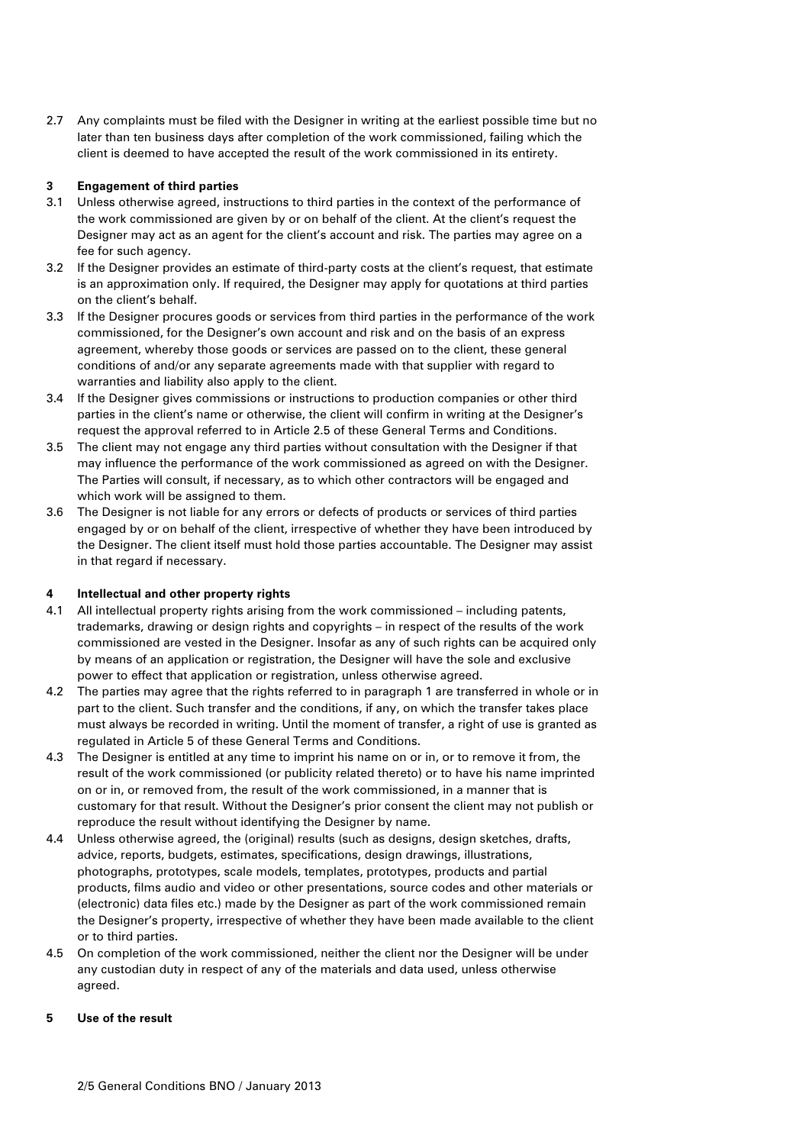2.7 Any complaints must be filed with the Designer in writing at the earliest possible time but no later than ten business days after completion of the work commissioned, failing which the client is deemed to have accepted the result of the work commissioned in its entirety.

### **3 Engagement of third parties**

- 3.1 Unless otherwise agreed, instructions to third parties in the context of the performance of the work commissioned are given by or on behalf of the client. At the client's request the Designer may act as an agent for the client's account and risk. The parties may agree on a fee for such agency.
- 3.2 If the Designer provides an estimate of third-party costs at the client's request, that estimate is an approximation only. If required, the Designer may apply for quotations at third parties on the client's behalf.
- 3.3 If the Designer procures goods or services from third parties in the performance of the work commissioned, for the Designer's own account and risk and on the basis of an express agreement, whereby those goods or services are passed on to the client, these general conditions of and/or any separate agreements made with that supplier with regard to warranties and liability also apply to the client.
- 3.4 If the Designer gives commissions or instructions to production companies or other third parties in the client's name or otherwise, the client will confirm in writing at the Designer's request the approval referred to in Article 2.5 of these General Terms and Conditions.
- 3.5 The client may not engage any third parties without consultation with the Designer if that may influence the performance of the work commissioned as agreed on with the Designer. The Parties will consult, if necessary, as to which other contractors will be engaged and which work will be assigned to them.
- 3.6 The Designer is not liable for any errors or defects of products or services of third parties engaged by or on behalf of the client, irrespective of whether they have been introduced by the Designer. The client itself must hold those parties accountable. The Designer may assist in that regard if necessary.

### **4 Intellectual and other property rights**

- 4.1 All intellectual property rights arising from the work commissioned including patents, trademarks, drawing or design rights and copyrights – in respect of the results of the work commissioned are vested in the Designer. Insofar as any of such rights can be acquired only by means of an application or registration, the Designer will have the sole and exclusive power to effect that application or registration, unless otherwise agreed.
- 4.2 The parties may agree that the rights referred to in paragraph 1 are transferred in whole or in part to the client. Such transfer and the conditions, if any, on which the transfer takes place must always be recorded in writing. Until the moment of transfer, a right of use is granted as regulated in Article 5 of these General Terms and Conditions.
- 4.3 The Designer is entitled at any time to imprint his name on or in, or to remove it from, the result of the work commissioned (or publicity related thereto) or to have his name imprinted on or in, or removed from, the result of the work commissioned, in a manner that is customary for that result. Without the Designer's prior consent the client may not publish or reproduce the result without identifying the Designer by name.
- 4.4 Unless otherwise agreed, the (original) results (such as designs, design sketches, drafts, advice, reports, budgets, estimates, specifications, design drawings, illustrations, photographs, prototypes, scale models, templates, prototypes, products and partial products, films audio and video or other presentations, source codes and other materials or (electronic) data files etc.) made by the Designer as part of the work commissioned remain the Designer's property, irrespective of whether they have been made available to the client or to third parties.
- 4.5 On completion of the work commissioned, neither the client nor the Designer will be under any custodian duty in respect of any of the materials and data used, unless otherwise agreed.

### **5 Use of the result**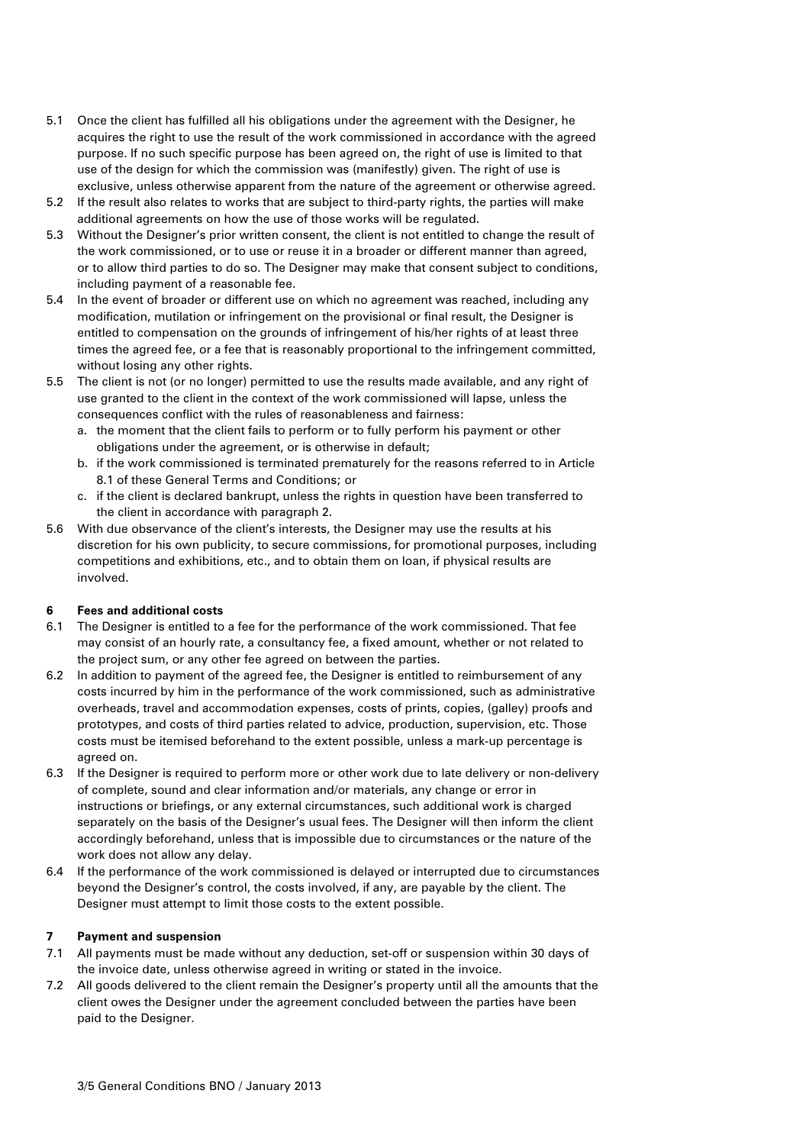- 5.1 Once the client has fulfilled all his obligations under the agreement with the Designer, he acquires the right to use the result of the work commissioned in accordance with the agreed purpose. If no such specific purpose has been agreed on, the right of use is limited to that use of the design for which the commission was (manifestly) given. The right of use is exclusive, unless otherwise apparent from the nature of the agreement or otherwise agreed.
- 5.2 If the result also relates to works that are subject to third-party rights, the parties will make additional agreements on how the use of those works will be regulated.
- 5.3 Without the Designer's prior written consent, the client is not entitled to change the result of the work commissioned, or to use or reuse it in a broader or different manner than agreed, or to allow third parties to do so. The Designer may make that consent subject to conditions, including payment of a reasonable fee.
- 5.4 In the event of broader or different use on which no agreement was reached, including any modification, mutilation or infringement on the provisional or final result, the Designer is entitled to compensation on the grounds of infringement of his/her rights of at least three times the agreed fee, or a fee that is reasonably proportional to the infringement committed, without losing any other rights.
- 5.5 The client is not (or no longer) permitted to use the results made available, and any right of use granted to the client in the context of the work commissioned will lapse, unless the consequences conflict with the rules of reasonableness and fairness:
	- a. the moment that the client fails to perform or to fully perform his payment or other obligations under the agreement, or is otherwise in default;
	- b. if the work commissioned is terminated prematurely for the reasons referred to in Article 8.1 of these General Terms and Conditions; or
	- c. if the client is declared bankrupt, unless the rights in question have been transferred to the client in accordance with paragraph 2.
- 5.6 With due observance of the client's interests, the Designer may use the results at his discretion for his own publicity, to secure commissions, for promotional purposes, including competitions and exhibitions, etc., and to obtain them on loan, if physical results are involved.

### **6 Fees and additional costs**

- 6.1 The Designer is entitled to a fee for the performance of the work commissioned. That fee may consist of an hourly rate, a consultancy fee, a fixed amount, whether or not related to the project sum, or any other fee agreed on between the parties.
- 6.2 In addition to payment of the agreed fee, the Designer is entitled to reimbursement of any costs incurred by him in the performance of the work commissioned, such as administrative overheads, travel and accommodation expenses, costs of prints, copies, (galley) proofs and prototypes, and costs of third parties related to advice, production, supervision, etc. Those costs must be itemised beforehand to the extent possible, unless a mark-up percentage is agreed on.
- 6.3 If the Designer is required to perform more or other work due to late delivery or non-delivery of complete, sound and clear information and/or materials, any change or error in instructions or briefings, or any external circumstances, such additional work is charged separately on the basis of the Designer's usual fees. The Designer will then inform the client accordingly beforehand, unless that is impossible due to circumstances or the nature of the work does not allow any delay.
- 6.4 If the performance of the work commissioned is delayed or interrupted due to circumstances beyond the Designer's control, the costs involved, if any, are payable by the client. The Designer must attempt to limit those costs to the extent possible.

### **7 Payment and suspension**

- 7.1 All payments must be made without any deduction, set-off or suspension within 30 days of the invoice date, unless otherwise agreed in writing or stated in the invoice.
- 7.2 All goods delivered to the client remain the Designer's property until all the amounts that the client owes the Designer under the agreement concluded between the parties have been paid to the Designer.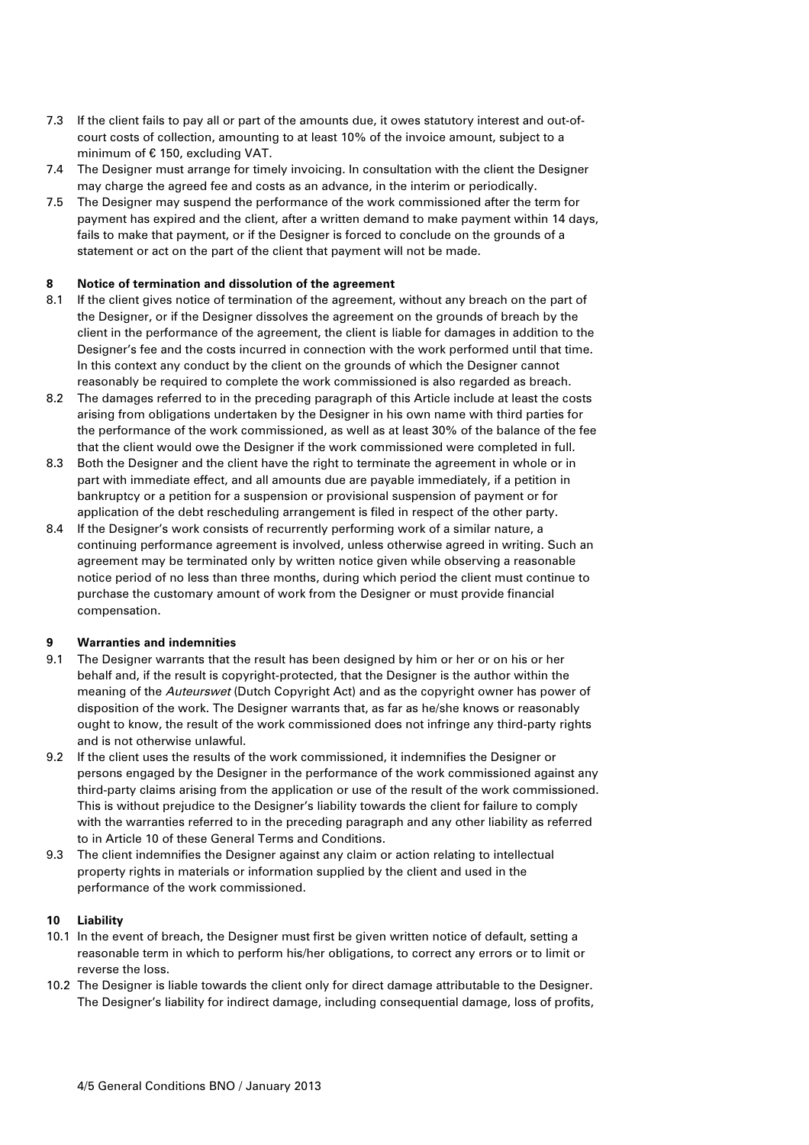- 7.3 If the client fails to pay all or part of the amounts due, it owes statutory interest and out-ofcourt costs of collection, amounting to at least 10% of the invoice amount, subject to a minimum of € 150, excluding VAT.
- 7.4 The Designer must arrange for timely invoicing. In consultation with the client the Designer may charge the agreed fee and costs as an advance, in the interim or periodically.
- 7.5 The Designer may suspend the performance of the work commissioned after the term for payment has expired and the client, after a written demand to make payment within 14 days, fails to make that payment, or if the Designer is forced to conclude on the grounds of a statement or act on the part of the client that payment will not be made.

#### **8 Notice of termination and dissolution of the agreement**

- 8.1 If the client gives notice of termination of the agreement, without any breach on the part of the Designer, or if the Designer dissolves the agreement on the grounds of breach by the client in the performance of the agreement, the client is liable for damages in addition to the Designer's fee and the costs incurred in connection with the work performed until that time. In this context any conduct by the client on the grounds of which the Designer cannot reasonably be required to complete the work commissioned is also regarded as breach.
- 8.2 The damages referred to in the preceding paragraph of this Article include at least the costs arising from obligations undertaken by the Designer in his own name with third parties for the performance of the work commissioned, as well as at least 30% of the balance of the fee that the client would owe the Designer if the work commissioned were completed in full.
- 8.3 Both the Designer and the client have the right to terminate the agreement in whole or in part with immediate effect, and all amounts due are payable immediately, if a petition in bankruptcy or a petition for a suspension or provisional suspension of payment or for application of the debt rescheduling arrangement is filed in respect of the other party.
- 8.4 If the Designer's work consists of recurrently performing work of a similar nature, a continuing performance agreement is involved, unless otherwise agreed in writing. Such an agreement may be terminated only by written notice given while observing a reasonable notice period of no less than three months, during which period the client must continue to purchase the customary amount of work from the Designer or must provide financial compensation.

### **9 Warranties and indemnities**

- 9.1 The Designer warrants that the result has been designed by him or her or on his or her behalf and, if the result is copyright-protected, that the Designer is the author within the meaning of the Auteurswet (Dutch Copyright Act) and as the copyright owner has power of disposition of the work. The Designer warrants that, as far as he/she knows or reasonably ought to know, the result of the work commissioned does not infringe any third-party rights and is not otherwise unlawful.
- 9.2 If the client uses the results of the work commissioned, it indemnifies the Designer or persons engaged by the Designer in the performance of the work commissioned against any third-party claims arising from the application or use of the result of the work commissioned. This is without prejudice to the Designer's liability towards the client for failure to comply with the warranties referred to in the preceding paragraph and any other liability as referred to in Article 10 of these General Terms and Conditions.
- 9.3 The client indemnifies the Designer against any claim or action relating to intellectual property rights in materials or information supplied by the client and used in the performance of the work commissioned.

### **10 Liability**

- 10.1 In the event of breach, the Designer must first be given written notice of default, setting a reasonable term in which to perform his/her obligations, to correct any errors or to limit or reverse the loss.
- 10.2 The Designer is liable towards the client only for direct damage attributable to the Designer. The Designer's liability for indirect damage, including consequential damage, loss of profits,